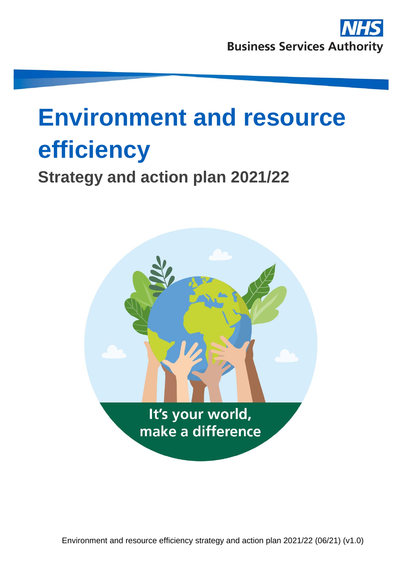## **Environment and resource efficiency**

## **Strategy and action plan 2021/22**



Environment and resource efficiency strategy and action plan 2021/22 (06/21) (v1.0)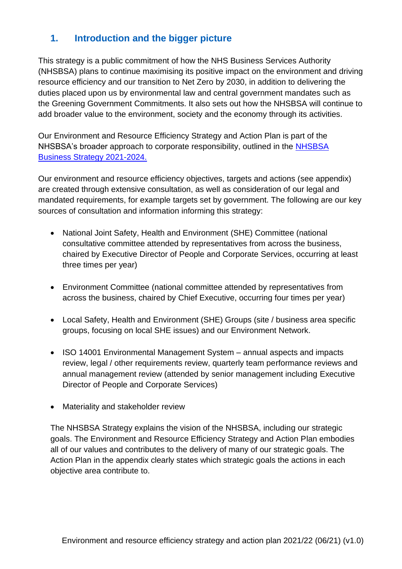## **1. Introduction and the bigger picture**

This strategy is a public commitment of how the NHS Business Services Authority (NHSBSA) plans to continue maximising its positive impact on the environment and driving resource efficiency and our transition to Net Zero by 2030, in addition to delivering the duties placed upon us by environmental law and central government mandates such as the Greening Government Commitments. It also sets out how the NHSBSA will continue to add broader value to the environment, society and the economy through its activities.

Our Environment and Resource Efficiency Strategy and Action Plan is part of the NHSBSA's broader approach to corporate responsibility, outlined in the [NHSBSA](https://www.nhsbsa.nhs.uk/what-we-do/strategy-business-plan-and-annual-report)  [Business Strategy 2021-2024.](https://www.nhsbsa.nhs.uk/what-we-do/strategy-business-plan-and-annual-report)

Our environment and resource efficiency objectives, targets and actions (see appendix) are created through extensive consultation, as well as consideration of our legal and mandated requirements, for example targets set by government. The following are our key sources of consultation and information informing this strategy:

- National Joint Safety, Health and Environment (SHE) Committee (national consultative committee attended by representatives from across the business, chaired by Executive Director of People and Corporate Services, occurring at least three times per year)
- Environment Committee (national committee attended by representatives from across the business, chaired by Chief Executive, occurring four times per year)
- Local Safety, Health and Environment (SHE) Groups (site / business area specific groups, focusing on local SHE issues) and our Environment Network.
- ISO 14001 Environmental Management System annual aspects and impacts review, legal / other requirements review, quarterly team performance reviews and annual management review (attended by senior management including Executive Director of People and Corporate Services)
- Materiality and stakeholder review

The NHSBSA Strategy explains the vision of the NHSBSA, including our strategic goals. The Environment and Resource Efficiency Strategy and Action Plan embodies all of our values and contributes to the delivery of many of our strategic goals. The Action Plan in the appendix clearly states which strategic goals the actions in each objective area contribute to.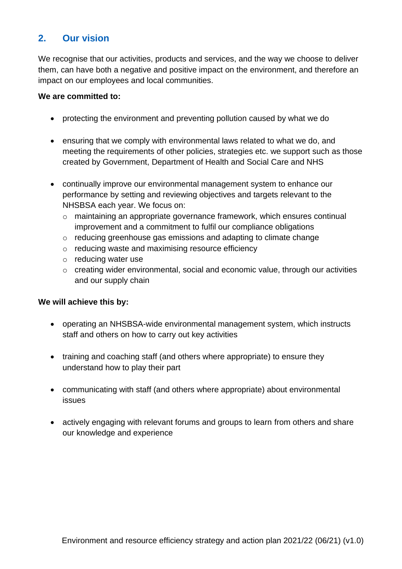## **2. Our vision**

We recognise that our activities, products and services, and the way we choose to deliver them, can have both a negative and positive impact on the environment, and therefore an impact on our employees and local communities.

#### **We are committed to:**

- protecting the environment and preventing pollution caused by what we do
- ensuring that we comply with environmental laws related to what we do, and meeting the requirements of other policies, strategies etc. we support such as those created by Government, Department of Health and Social Care and NHS
- continually improve our environmental management system to enhance our performance by setting and reviewing objectives and targets relevant to the NHSBSA each year. We focus on:
	- o maintaining an appropriate governance framework, which ensures continual improvement and a commitment to fulfil our compliance obligations
	- o reducing greenhouse gas emissions and adapting to climate change
	- o reducing waste and maximising resource efficiency
	- o reducing water use
	- o creating wider environmental, social and economic value, through our activities and our supply chain

#### **We will achieve this by:**

- operating an NHSBSA-wide environmental management system, which instructs staff and others on how to carry out key activities
- training and coaching staff (and others where appropriate) to ensure they understand how to play their part
- communicating with staff (and others where appropriate) about environmental issues
- actively engaging with relevant forums and groups to learn from others and share our knowledge and experience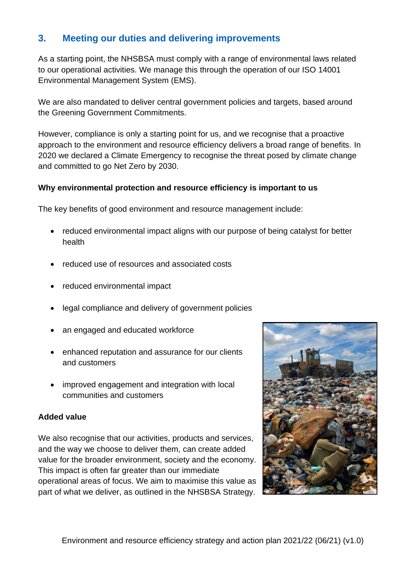## **3. Meeting our duties and delivering improvements**

As a starting point, the NHSBSA must comply with a range of environmental laws related to our operational activities. We manage this through the operation of our ISO 14001 Environmental Management System (EMS).

We are also mandated to deliver central government policies and targets, based around the Greening Government Commitments.

However, compliance is only a starting point for us, and we recognise that a proactive approach to the environment and resource efficiency delivers a broad range of benefits. In 2020 we declared a Climate Emergency to recognise the threat posed by climate change and committed to go Net Zero by 2030.

#### **Why environmental protection and resource efficiency is important to us**

The key benefits of good environment and resource management include:

- reduced environmental impact aligns with our purpose of being catalyst for better health
- reduced use of resources and associated costs
- reduced environmental impact
- legal compliance and delivery of government policies
- an engaged and educated workforce
- enhanced reputation and assurance for our clients and customers
- improved engagement and integration with local communities and customers

#### **Added value**

We also recognise that our activities, products and services, and the way we choose to deliver them, can create added value for the broader environment, society and the economy. This impact is often far greater than our immediate operational areas of focus. We aim to maximise this value as part of what we deliver, as outlined in the NHSBSA Strategy.

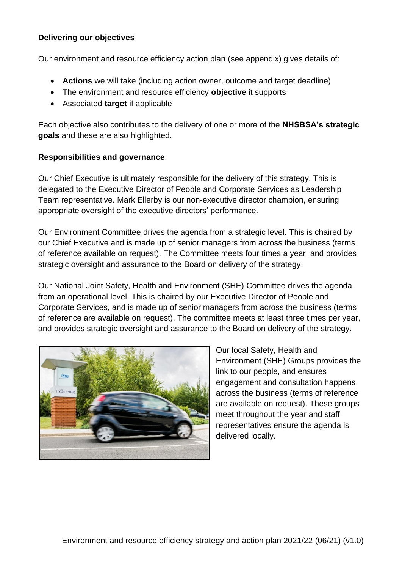#### **Delivering our objectives**

Our environment and resource efficiency action plan (see appendix) gives details of:

- **Actions** we will take (including action owner, outcome and target deadline)
- The environment and resource efficiency **objective** it supports
- Associated **target** if applicable

Each objective also contributes to the delivery of one or more of the **NHSBSA's strategic goals** and these are also highlighted.

#### **Responsibilities and governance**

Our Chief Executive is ultimately responsible for the delivery of this strategy. This is delegated to the Executive Director of People and Corporate Services as Leadership Team representative. Mark Ellerby is our non-executive director champion, ensuring appropriate oversight of the executive directors' performance.

Our Environment Committee drives the agenda from a strategic level. This is chaired by our Chief Executive and is made up of senior managers from across the business (terms of reference available on request). The Committee meets four times a year, and provides strategic oversight and assurance to the Board on delivery of the strategy.

Our National Joint Safety, Health and Environment (SHE) Committee drives the agenda from an operational level. This is chaired by our Executive Director of People and Corporate Services, and is made up of senior managers from across the business (terms of reference are available on request). The committee meets at least three times per year, and provides strategic oversight and assurance to the Board on delivery of the strategy.



Our local Safety, Health and Environment (SHE) Groups provides the link to our people, and ensures engagement and consultation happens across the business (terms of reference are available on request). These groups meet throughout the year and staff representatives ensure the agenda is delivered locally.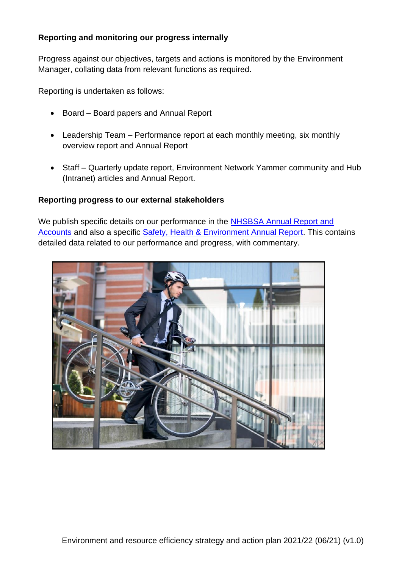#### **Reporting and monitoring our progress internally**

Progress against our objectives, targets and actions is monitored by the Environment Manager, collating data from relevant functions as required.

Reporting is undertaken as follows:

- Board Board papers and Annual Report
- Leadership Team Performance report at each monthly meeting, six monthly overview report and Annual Report
- Staff Quarterly update report, Environment Network Yammer community and Hub (Intranet) articles and Annual Report.

#### **Reporting progress to our external stakeholders**

We publish specific details on our performance in the [NHSBSA Annual Report and](https://www.nhsbsa.nhs.uk/what-we-do/strategy-business-plan-and-annual-report)  [Accounts](https://www.nhsbsa.nhs.uk/what-we-do/strategy-business-plan-and-annual-report) and also a specific [Safety, Health & Environment Annual Report.](https://www.nhsbsa.nhs.uk/what-we-do/corporate-responsibility) This contains detailed data related to our performance and progress, with commentary.

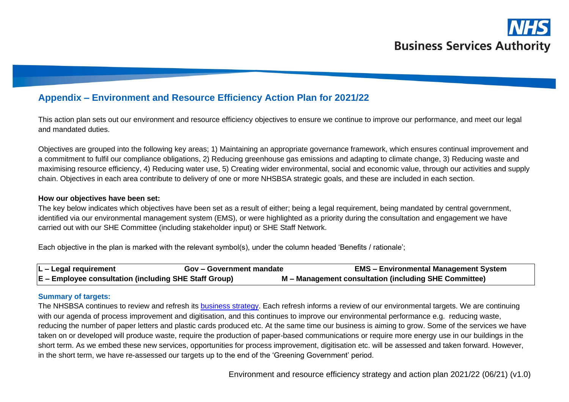# **Business Services Authority**

## **Appendix – Environment and Resource Efficiency Action Plan for 2021/22**

This action plan sets out our environment and resource efficiency objectives to ensure we continue to improve our performance, and meet our legal and mandated duties.

Objectives are grouped into the following key areas; 1) Maintaining an appropriate governance framework, which ensures continual improvement and a commitment to fulfil our compliance obligations, 2) Reducing greenhouse gas emissions and adapting to climate change, 3) Reducing waste and maximising resource efficiency, 4) Reducing water use, 5) Creating wider environmental, social and economic value, through our activities and supply chain. Objectives in each area contribute to delivery of one or more NHSBSA strategic goals, and these are included in each section.

#### **How our objectives have been set:**

The key below indicates which objectives have been set as a result of either; being a legal requirement, being mandated by central government, identified via our environmental management system (EMS), or were highlighted as a priority during the consultation and engagement we have carried out with our SHE Committee (including stakeholder input) or SHE Staff Network.

Each objective in the plan is marked with the relevant symbol(s), under the column headed 'Benefits / rationale';

| ∣L – Legal requirement                                | <b>Gov – Government mandate</b> | <b>EMS - Environmental Management System</b>          |
|-------------------------------------------------------|---------------------------------|-------------------------------------------------------|
| E – Employee consultation (including SHE Staff Group) |                                 | M - Management consultation (including SHE Committee) |

#### **Summary of targets:**

The NHSBSA continues to review and refresh its [business strategy.](https://www.nhsbsa.nhs.uk/what-we-do/strategy-business-plan-and-annual-report) Each refresh informs a review of our environmental targets. We are continuing with our agenda of process improvement and digitisation, and this continues to improve our environmental performance e.g. reducing waste, reducing the number of paper letters and plastic cards produced etc. At the same time our business is aiming to grow. Some of the services we have taken on or developed will produce waste, require the production of paper-based communications or require more energy use in our buildings in the short term. As we embed these new services, opportunities for process improvement, digitisation etc. will be assessed and taken forward. However, in the short term, we have re-assessed our targets up to the end of the 'Greening Government' period.

Environment and resource efficiency strategy and action plan 2021/22 (06/21) (v1.0)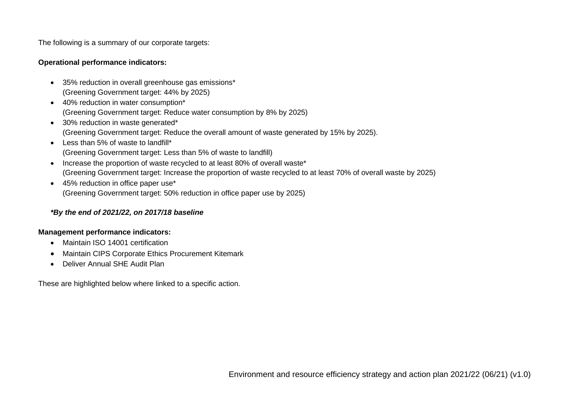The following is a summary of our corporate targets:

#### **Operational performance indicators:**

- 35% reduction in overall greenhouse gas emissions\* (Greening Government target: 44% by 2025)
- 40% reduction in water consumption\* (Greening Government target: Reduce water consumption by 8% by 2025)
- 30% reduction in waste generated\* (Greening Government target: Reduce the overall amount of waste generated by 15% by 2025).
- Less than 5% of waste to landfill\* (Greening Government target: Less than 5% of waste to landfill)
- Increase the proportion of waste recycled to at least 80% of overall waste\* (Greening Government target: Increase the proportion of waste recycled to at least 70% of overall waste by 2025)
- 45% reduction in office paper use\* (Greening Government target: 50% reduction in office paper use by 2025)

#### *\*By the end of 2021/22, on 2017/18 baseline*

#### **Management performance indicators:**

- Maintain ISO 14001 certification
- Maintain CIPS Corporate Ethics Procurement Kitemark
- Deliver Annual SHE Audit Plan

These are highlighted below where linked to a specific action.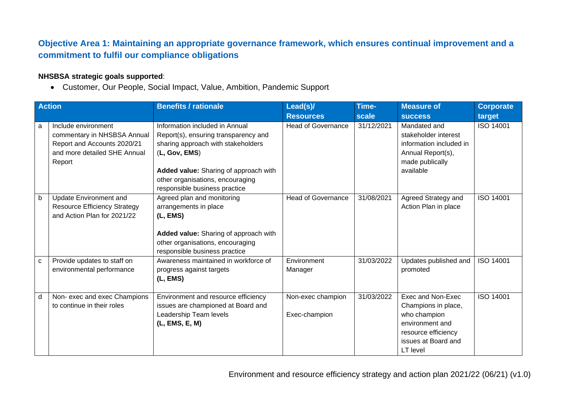## **Objective Area 1: Maintaining an appropriate governance framework, which ensures continual improvement and a commitment to fulfil our compliance obligations**

#### **NHSBSA strategic goals supported**:

• Customer, Our People, Social Impact, Value, Ambition, Pandemic Support

|   | <b>Action</b>                       | <b>Benefits / rationale</b>                                       | Lead(s)/                  | Time-      | <b>Measure of</b>       | <b>Corporate</b> |
|---|-------------------------------------|-------------------------------------------------------------------|---------------------------|------------|-------------------------|------------------|
|   |                                     |                                                                   | <b>Resources</b>          | scale      | <b>SUCCESS</b>          | target           |
| a | Include environment                 | Information included in Annual                                    | <b>Head of Governance</b> | 31/12/2021 | Mandated and            | <b>ISO 14001</b> |
|   | commentary in NHSBSA Annual         | Report(s), ensuring transparency and                              |                           |            | stakeholder interest    |                  |
|   | Report and Accounts 2020/21         | sharing approach with stakeholders                                |                           |            | information included in |                  |
|   | and more detailed SHE Annual        | (L, Gov, EMS)                                                     |                           |            | Annual Report(s),       |                  |
|   | Report                              |                                                                   |                           |            | made publically         |                  |
|   |                                     | Added value: Sharing of approach with                             |                           |            | available               |                  |
|   |                                     | other organisations, encouraging<br>responsible business practice |                           |            |                         |                  |
| b | <b>Update Environment and</b>       | Agreed plan and monitoring                                        | <b>Head of Governance</b> | 31/08/2021 | Agreed Strategy and     | <b>ISO 14001</b> |
|   | <b>Resource Efficiency Strategy</b> | arrangements in place                                             |                           |            | Action Plan in place    |                  |
|   | and Action Plan for 2021/22         | (L, EMS)                                                          |                           |            |                         |                  |
|   |                                     |                                                                   |                           |            |                         |                  |
|   |                                     | Added value: Sharing of approach with                             |                           |            |                         |                  |
|   |                                     | other organisations, encouraging                                  |                           |            |                         |                  |
|   |                                     | responsible business practice                                     |                           |            |                         |                  |
| C | Provide updates to staff on         | Awareness maintained in workforce of                              | Environment               | 31/03/2022 | Updates published and   | <b>ISO 14001</b> |
|   | environmental performance           | progress against targets                                          | Manager                   |            | promoted                |                  |
|   |                                     | (L, EMS)                                                          |                           |            |                         |                  |
| d | Non-exec and exec Champions         | Environment and resource efficiency                               | Non-exec champion         | 31/03/2022 | Exec and Non-Exec       | <b>ISO 14001</b> |
|   | to continue in their roles          | issues are championed at Board and                                |                           |            | Champions in place,     |                  |
|   |                                     | Leadership Team levels                                            | Exec-champion             |            | who champion            |                  |
|   |                                     | (L, EMS, E, M)                                                    |                           |            | environment and         |                  |
|   |                                     |                                                                   |                           |            | resource efficiency     |                  |
|   |                                     |                                                                   |                           |            | issues at Board and     |                  |
|   |                                     |                                                                   |                           |            | LT level                |                  |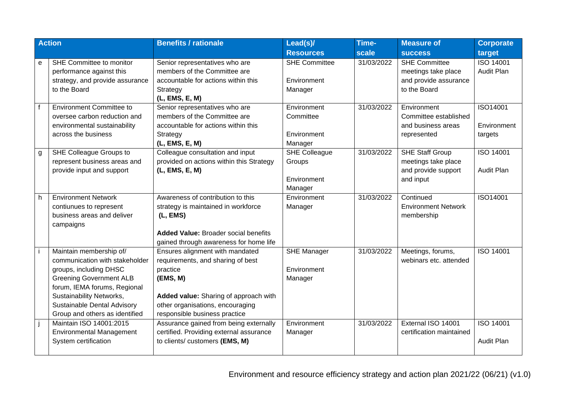|              | <b>Action</b>                                                                                                                                                                                                                                      | <b>Benefits / rationale</b>                                                                                                                                                                                | Lead(s)/                                                 | Time-      | <b>Measure of</b>                                                                    | <b>Corporate</b>                   |
|--------------|----------------------------------------------------------------------------------------------------------------------------------------------------------------------------------------------------------------------------------------------------|------------------------------------------------------------------------------------------------------------------------------------------------------------------------------------------------------------|----------------------------------------------------------|------------|--------------------------------------------------------------------------------------|------------------------------------|
|              |                                                                                                                                                                                                                                                    |                                                                                                                                                                                                            | <b>Resources</b>                                         | scale      | <b>SUCCESS</b>                                                                       | target                             |
| e            | SHE Committee to monitor<br>performance against this<br>strategy, and provide assurance<br>to the Board                                                                                                                                            | Senior representatives who are<br>members of the Committee are<br>accountable for actions within this<br>Strategy<br>(L, EMS, E, M)                                                                        | <b>SHE Committee</b><br>Environment<br>Manager           | 31/03/2022 | <b>SHE Committee</b><br>meetings take place<br>and provide assurance<br>to the Board | <b>ISO 14001</b><br>Audit Plan     |
| $\mathsf{f}$ | <b>Environment Committee to</b><br>oversee carbon reduction and<br>environmental sustainability<br>across the business                                                                                                                             | Senior representatives who are<br>members of the Committee are<br>accountable for actions within this<br>Strategy<br>(L, EMS, E, M)                                                                        | Environment<br>Committee<br>Environment<br>Manager       | 31/03/2022 | Environment<br>Committee established<br>and business areas<br>represented            | ISO14001<br>Environment<br>targets |
| g            | SHE Colleague Groups to<br>represent business areas and<br>provide input and support                                                                                                                                                               | Colleague consultation and input<br>provided on actions within this Strategy<br>(L, EMS, E, M)                                                                                                             | <b>SHE Colleague</b><br>Groups<br>Environment<br>Manager | 31/03/2022 | <b>SHE Staff Group</b><br>meetings take place<br>and provide support<br>and input    | ISO 14001<br><b>Audit Plan</b>     |
| h.           | <b>Environment Network</b><br>contiunues to represent<br>business areas and deliver<br>campaigns                                                                                                                                                   | Awareness of contribution to this<br>strategy is maintained in workforce<br>(L, EMS)<br><b>Added Value: Broader social benefits</b><br>gained through awareness for home life                              | Environment<br>Manager                                   | 31/03/2022 | Continued<br><b>Environment Network</b><br>membership                                | ISO14001                           |
|              | Maintain membership of/<br>communication with stakeholder<br>groups, including DHSC<br><b>Greening Government ALB</b><br>forum, IEMA forums, Regional<br>Sustainability Networks,<br>Sustainable Dental Advisory<br>Group and others as identified | Ensures alignment with mandated<br>requirements, and sharing of best<br>practice<br>(EMS, M)<br>Added value: Sharing of approach with<br>other organisations, encouraging<br>responsible business practice | <b>SHE Manager</b><br>Environment<br>Manager             | 31/03/2022 | Meetings, forums,<br>webinars etc. attended                                          | ISO 14001                          |
|              | Maintain ISO 14001:2015<br><b>Environmental Management</b><br>System certification                                                                                                                                                                 | Assurance gained from being externally<br>certified. Providing external assurance<br>to clients/ customers (EMS, M)                                                                                        | Environment<br>Manager                                   | 31/03/2022 | External ISO 14001<br>certification maintained                                       | <b>ISO 14001</b><br>Audit Plan     |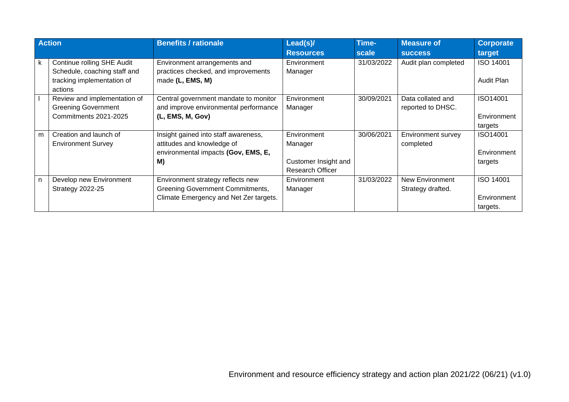|    | <b>Action</b>                | <b>Benefits / rationale</b>             | Lead(s)/                | Time-      | <b>Measure of</b>    | <b>Corporate</b> |
|----|------------------------------|-----------------------------------------|-------------------------|------------|----------------------|------------------|
|    |                              |                                         | <b>Resources</b>        | scale      | <b>SUCCESS</b>       | target           |
| k. | Continue rolling SHE Audit   | Environment arrangements and            | Environment             | 31/03/2022 | Audit plan completed | <b>ISO 14001</b> |
|    | Schedule, coaching staff and | practices checked, and improvements     | Manager                 |            |                      |                  |
|    | tracking implementation of   | made (L, EMS, M)                        |                         |            |                      | Audit Plan       |
|    | actions                      |                                         |                         |            |                      |                  |
|    | Review and implementation of | Central government mandate to monitor   | Environment             | 30/09/2021 | Data collated and    | ISO14001         |
|    | <b>Greening Government</b>   | and improve environmental performance   | Manager                 |            | reported to DHSC.    |                  |
|    | Commitments 2021-2025        | (L, EMS, M, Gov)                        |                         |            |                      | Environment      |
|    |                              |                                         |                         |            |                      | targets          |
| m  | Creation and launch of       | Insight gained into staff awareness,    | Environment             | 30/06/2021 | Environment survey   | ISO14001         |
|    | <b>Environment Survey</b>    | attitudes and knowledge of              | Manager                 |            | completed            |                  |
|    |                              | environmental impacts (Gov, EMS, E,     |                         |            |                      | Environment      |
|    |                              | M)                                      | Customer Insight and    |            |                      | targets          |
|    |                              |                                         | <b>Research Officer</b> |            |                      |                  |
| n  | Develop new Environment      | Environment strategy reflects new       | Environment             | 31/03/2022 | New Environment      | ISO 14001        |
|    | <b>Strategy 2022-25</b>      | <b>Greening Government Commitments,</b> | Manager                 |            | Strategy drafted.    |                  |
|    |                              | Climate Emergency and Net Zer targets.  |                         |            |                      | Environment      |
|    |                              |                                         |                         |            |                      | targets.         |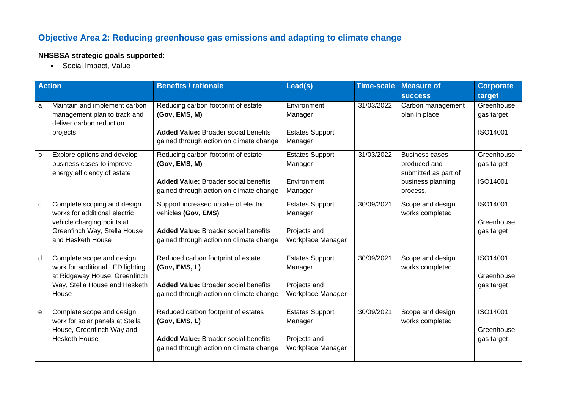## **Objective Area 2: Reducing greenhouse gas emissions and adapting to climate change**

#### **NHSBSA strategic goals supported**:

• Social Impact, Value

|              | <b>Action</b>                                                                                                                                   | <b>Benefits / rationale</b>                                                                                                                           | Lead(s)                                                                | <b>Time-scale</b> | <b>Measure of</b>                                                                              | <b>Corporate</b>                     |
|--------------|-------------------------------------------------------------------------------------------------------------------------------------------------|-------------------------------------------------------------------------------------------------------------------------------------------------------|------------------------------------------------------------------------|-------------------|------------------------------------------------------------------------------------------------|--------------------------------------|
|              |                                                                                                                                                 |                                                                                                                                                       |                                                                        |                   | <b>SUCCESS</b>                                                                                 | target                               |
| a            | Maintain and implement carbon<br>management plan to track and<br>deliver carbon reduction                                                       | Reducing carbon footprint of estate<br>(Gov, EMS, M)                                                                                                  | Environment<br>Manager                                                 | 31/03/2022        | Carbon management<br>plan in place.                                                            | Greenhouse<br>gas target             |
|              | projects                                                                                                                                        | <b>Added Value: Broader social benefits</b><br>gained through action on climate change                                                                | <b>Estates Support</b><br>Manager                                      |                   |                                                                                                | ISO14001                             |
| b            | Explore options and develop<br>business cases to improve<br>energy efficiency of estate                                                         | Reducing carbon footprint of estate<br>(Gov, EMS, M)<br><b>Added Value: Broader social benefits</b><br>gained through action on climate change        | <b>Estates Support</b><br>Manager<br>Environment<br>Manager            | 31/03/2022        | <b>Business cases</b><br>produced and<br>submitted as part of<br>business planning<br>process. | Greenhouse<br>gas target<br>ISO14001 |
| $\mathbf{C}$ | Complete scoping and design<br>works for additional electric<br>vehicle charging points at<br>Greenfinch Way, Stella House<br>and Hesketh House | Support increased uptake of electric<br>vehicles (Gov, EMS)<br><b>Added Value: Broader social benefits</b><br>gained through action on climate change | <b>Estates Support</b><br>Manager<br>Projects and<br>Workplace Manager | 30/09/2021        | Scope and design<br>works completed                                                            | ISO14001<br>Greenhouse<br>gas target |
| d            | Complete scope and design<br>work for additional LED lighting<br>at Ridgeway House, Greenfinch<br>Way, Stella House and Hesketh<br>House        | Reduced carbon footprint of estate<br>(Gov, EMS, L)<br><b>Added Value: Broader social benefits</b><br>gained through action on climate change         | <b>Estates Support</b><br>Manager<br>Projects and<br>Workplace Manager | 30/09/2021        | Scope and design<br>works completed                                                            | ISO14001<br>Greenhouse<br>gas target |
| ${\bf e}$    | Complete scope and design<br>work for solar panels at Stella<br>House, Greenfinch Way and<br><b>Hesketh House</b>                               | Reduced carbon footprint of estates<br>(Gov, EMS, L)<br><b>Added Value: Broader social benefits</b><br>gained through action on climate change        | <b>Estates Support</b><br>Manager<br>Projects and<br>Workplace Manager | 30/09/2021        | Scope and design<br>works completed                                                            | ISO14001<br>Greenhouse<br>gas target |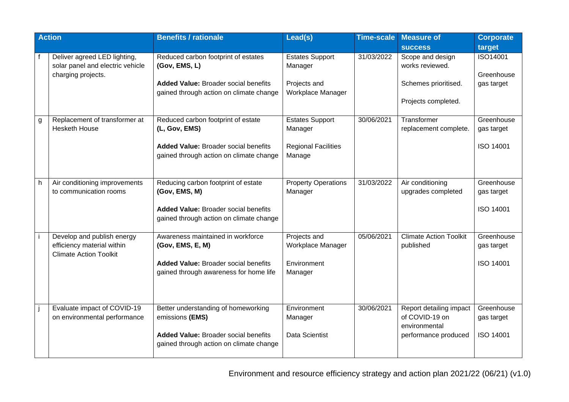|    | <b>Action</b>                                                                             | <b>Benefits / rationale</b>                                                                                                                      | Lead(s)                                                                   | <b>Time-scale</b> | <b>Measure of</b>                                                                  | <b>Corporate</b>                             |
|----|-------------------------------------------------------------------------------------------|--------------------------------------------------------------------------------------------------------------------------------------------------|---------------------------------------------------------------------------|-------------------|------------------------------------------------------------------------------------|----------------------------------------------|
|    |                                                                                           |                                                                                                                                                  |                                                                           |                   | <b>SUCCESS</b>                                                                     | target                                       |
|    | Deliver agreed LED lighting,<br>solar panel and electric vehicle<br>charging projects.    | Reduced carbon footprint of estates<br>(Gov, EMS, L)                                                                                             | <b>Estates Support</b><br>Manager                                         | 31/03/2022        | Scope and design<br>works reviewed.                                                | ISO14001<br>Greenhouse                       |
|    |                                                                                           | <b>Added Value: Broader social benefits</b><br>gained through action on climate change                                                           | Projects and<br>Workplace Manager                                         |                   | Schemes prioritised.<br>Projects completed.                                        | gas target                                   |
| g  | Replacement of transformer at<br><b>Hesketh House</b>                                     | Reduced carbon footprint of estate<br>(L, Gov, EMS)<br><b>Added Value: Broader social benefits</b><br>gained through action on climate change    | <b>Estates Support</b><br>Manager<br><b>Regional Facilities</b><br>Manage | 30/06/2021        | Transformer<br>replacement complete.                                               | Greenhouse<br>gas target<br><b>ISO 14001</b> |
| h. | Air conditioning improvements<br>to communication rooms                                   | Reducing carbon footprint of estate<br>(Gov, EMS, M)<br><b>Added Value: Broader social benefits</b><br>gained through action on climate change   | <b>Property Operations</b><br>Manager                                     | 31/03/2022        | Air conditioning<br>upgrades completed                                             | Greenhouse<br>gas target<br><b>ISO 14001</b> |
|    | Develop and publish energy<br>efficiency material within<br><b>Climate Action Toolkit</b> | Awareness maintained in workforce<br>(Gov, EMS, E, M)<br><b>Added Value: Broader social benefits</b><br>gained through awareness for home life   | Projects and<br>Workplace Manager<br>Environment<br>Manager               | 05/06/2021        | <b>Climate Action Toolkit</b><br>published                                         | Greenhouse<br>gas target<br>ISO 14001        |
|    | Evaluate impact of COVID-19<br>on environmental performance                               | Better understanding of homeworking<br>emissions (EMS)<br><b>Added Value: Broader social benefits</b><br>gained through action on climate change | Environment<br>Manager<br>Data Scientist                                  | 30/06/2021        | Report detailing impact<br>of COVID-19 on<br>environmental<br>performance produced | Greenhouse<br>gas target<br><b>ISO 14001</b> |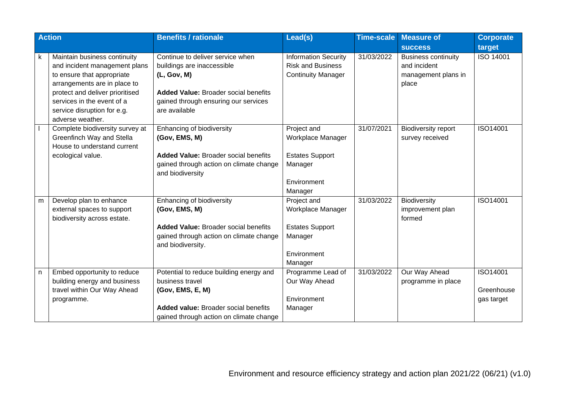|    | <b>Action</b>                   | <b>Benefits / rationale</b>                 | Lead(s)                     | <b>Time-scale</b> | <b>Measure of</b>          | <b>Corporate</b> |
|----|---------------------------------|---------------------------------------------|-----------------------------|-------------------|----------------------------|------------------|
|    |                                 |                                             |                             |                   | <b>SUCCESS</b>             | target           |
| k. | Maintain business continuity    | Continue to deliver service when            | <b>Information Security</b> | 31/03/2022        | <b>Business continuity</b> | <b>ISO 14001</b> |
|    | and incident management plans   | buildings are inaccessible                  | <b>Risk and Business</b>    |                   | and incident               |                  |
|    | to ensure that appropriate      | (L, Gov, M)                                 | <b>Continuity Manager</b>   |                   | management plans in        |                  |
|    | arrangements are in place to    |                                             |                             |                   | place                      |                  |
|    | protect and deliver prioritised | <b>Added Value: Broader social benefits</b> |                             |                   |                            |                  |
|    | services in the event of a      | gained through ensuring our services        |                             |                   |                            |                  |
|    | service disruption for e.g.     | are available                               |                             |                   |                            |                  |
|    | adverse weather.                |                                             |                             |                   |                            |                  |
|    | Complete biodiversity survey at | Enhancing of biodiversity                   | Project and                 | 31/07/2021        | <b>Biodiversity report</b> | ISO14001         |
|    | Greenfinch Way and Stella       | (Gov, EMS, M)                               | Workplace Manager           |                   | survey received            |                  |
|    | House to understand current     |                                             |                             |                   |                            |                  |
|    | ecological value.               | <b>Added Value: Broader social benefits</b> | <b>Estates Support</b>      |                   |                            |                  |
|    |                                 | gained through action on climate change     | Manager                     |                   |                            |                  |
|    |                                 | and biodiversity                            |                             |                   |                            |                  |
|    |                                 |                                             | Environment                 |                   |                            |                  |
|    |                                 |                                             | Manager                     |                   |                            |                  |
| m  | Develop plan to enhance         | Enhancing of biodiversity                   | Project and                 | 31/03/2022        | Biodiversity               | ISO14001         |
|    | external spaces to support      | (Gov, EMS, M)                               | Workplace Manager           |                   | improvement plan           |                  |
|    | biodiversity across estate.     |                                             |                             |                   | formed                     |                  |
|    |                                 | <b>Added Value: Broader social benefits</b> | <b>Estates Support</b>      |                   |                            |                  |
|    |                                 | gained through action on climate change     | Manager                     |                   |                            |                  |
|    |                                 | and biodiversity.                           |                             |                   |                            |                  |
|    |                                 |                                             | Environment                 |                   |                            |                  |
|    |                                 |                                             | Manager                     |                   |                            |                  |
| n  | Embed opportunity to reduce     | Potential to reduce building energy and     | Programme Lead of           | 31/03/2022        | Our Way Ahead              | ISO14001         |
|    | building energy and business    | business travel                             | Our Way Ahead               |                   | programme in place         |                  |
|    | travel within Our Way Ahead     | (Gov, EMS, E, M)                            |                             |                   |                            | Greenhouse       |
|    | programme.                      |                                             | Environment                 |                   |                            | gas target       |
|    |                                 | <b>Added value: Broader social benefits</b> | Manager                     |                   |                            |                  |
|    |                                 | gained through action on climate change     |                             |                   |                            |                  |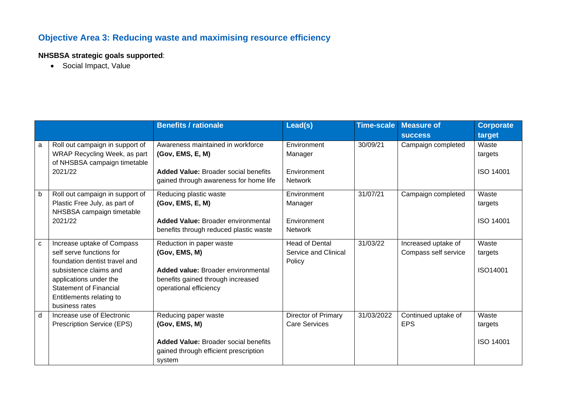## **Objective Area 3: Reducing waste and maximising resource efficiency**

#### **NHSBSA strategic goals supported**:

• Social Impact, Value

|   |                                 | <b>Benefits / rationale</b>                 | Lead(s)                     | <b>Time-scale</b> | <b>Measure of</b>    | <b>Corporate</b> |
|---|---------------------------------|---------------------------------------------|-----------------------------|-------------------|----------------------|------------------|
|   |                                 |                                             |                             |                   | <b>SUCCESS</b>       | target           |
| a | Roll out campaign in support of | Awareness maintained in workforce           | Environment                 | 30/09/21          | Campaign completed   | Waste            |
|   | WRAP Recycling Week, as part    | (Gov, EMS, E, M)                            | Manager                     |                   |                      | targets          |
|   | of NHSBSA campaign timetable    |                                             |                             |                   |                      |                  |
|   | 2021/22                         | <b>Added Value: Broader social benefits</b> | Environment                 |                   |                      | <b>ISO 14001</b> |
|   |                                 | gained through awareness for home life      | <b>Network</b>              |                   |                      |                  |
| b | Roll out campaign in support of | Reducing plastic waste                      | Environment                 | 31/07/21          | Campaign completed   | Waste            |
|   | Plastic Free July, as part of   | (Gov, EMS, E, M)                            | Manager                     |                   |                      | targets          |
|   | NHSBSA campaign timetable       |                                             |                             |                   |                      |                  |
|   | 2021/22                         | <b>Added Value: Broader environmental</b>   | Environment                 |                   |                      | <b>ISO 14001</b> |
|   |                                 | benefits through reduced plastic waste      | <b>Network</b>              |                   |                      |                  |
| C | Increase uptake of Compass      | Reduction in paper waste                    | <b>Head of Dental</b>       | 31/03/22          | Increased uptake of  | Waste            |
|   | self serve functions for        | (Gov, EMS, M)                               | <b>Service and Clinical</b> |                   | Compass self service | targets          |
|   | foundation dentist travel and   |                                             | Policy                      |                   |                      |                  |
|   | subsistence claims and          | Added value: Broader environmental          |                             |                   |                      | ISO14001         |
|   | applications under the          | benefits gained through increased           |                             |                   |                      |                  |
|   | <b>Statement of Financial</b>   | operational efficiency                      |                             |                   |                      |                  |
|   | Entitlements relating to        |                                             |                             |                   |                      |                  |
|   | business rates                  |                                             |                             |                   |                      |                  |
| d | Increase use of Electronic      | Reducing paper waste                        | Director of Primary         | 31/03/2022        | Continued uptake of  | Waste            |
|   | Prescription Service (EPS)      | (Gov, EMS, M)                               | <b>Care Services</b>        |                   | <b>EPS</b>           | targets          |
|   |                                 |                                             |                             |                   |                      |                  |
|   |                                 | <b>Added Value: Broader social benefits</b> |                             |                   |                      | <b>ISO 14001</b> |
|   |                                 | gained through efficient prescription       |                             |                   |                      |                  |
|   |                                 | system                                      |                             |                   |                      |                  |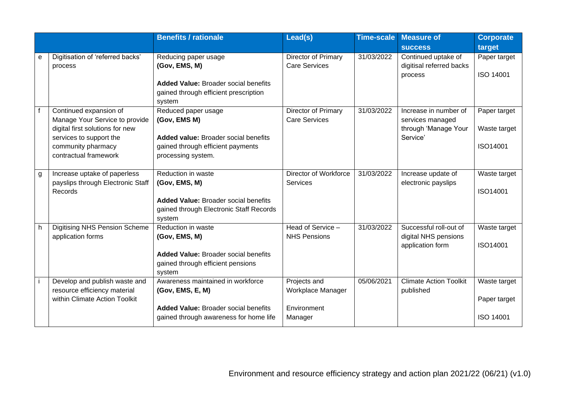|   |                                                                   | <b>Benefits / rationale</b>                                                                    | Lead(s)                                     | <b>Time-scale</b> | <b>Measure of</b>                               | <b>Corporate</b> |
|---|-------------------------------------------------------------------|------------------------------------------------------------------------------------------------|---------------------------------------------|-------------------|-------------------------------------------------|------------------|
|   |                                                                   |                                                                                                |                                             |                   | <b>SUCCESS</b>                                  | target           |
| е | Digitisation of 'referred backs'<br>process                       | Reducing paper usage<br>(Gov, EMS, M)                                                          | Director of Primary<br><b>Care Services</b> | 31/03/2022        | Continued uptake of<br>digitisal referred backs | Paper target     |
|   |                                                                   | <b>Added Value: Broader social benefits</b><br>gained through efficient prescription<br>system |                                             |                   | process                                         | <b>ISO 14001</b> |
|   | Continued expansion of<br>Manage Your Service to provide          | Reduced paper usage<br>(Gov, EMS M)                                                            | Director of Primary<br><b>Care Services</b> | 31/03/2022        | Increase in number of<br>services managed       | Paper target     |
|   | digital first solutions for new<br>services to support the        | <b>Added value: Broader social benefits</b>                                                    |                                             |                   | through 'Manage Your<br>Service'                | Waste target     |
|   | community pharmacy<br>contractual framework                       | gained through efficient payments<br>processing system.                                        |                                             |                   |                                                 | ISO14001         |
|   |                                                                   |                                                                                                |                                             |                   |                                                 |                  |
| g | Increase uptake of paperless<br>payslips through Electronic Staff | Reduction in waste<br>(Gov, EMS, M)                                                            | Director of Workforce<br>Services           | 31/03/2022        | Increase update of<br>electronic payslips       | Waste target     |
|   | Records                                                           |                                                                                                |                                             |                   |                                                 | ISO14001         |
|   |                                                                   | <b>Added Value: Broader social benefits</b><br>gained through Electronic Staff Records         |                                             |                   |                                                 |                  |
|   |                                                                   | system                                                                                         |                                             |                   |                                                 |                  |
| h | <b>Digitising NHS Pension Scheme</b><br>application forms         | Reduction in waste<br>(Gov, EMS, M)                                                            | Head of Service -<br><b>NHS Pensions</b>    | 31/03/2022        | Successful roll-out of<br>digital NHS pensions  | Waste target     |
|   |                                                                   |                                                                                                |                                             |                   | application form                                | ISO14001         |
|   |                                                                   | <b>Added Value: Broader social benefits</b>                                                    |                                             |                   |                                                 |                  |
|   |                                                                   | gained through efficient pensions<br>system                                                    |                                             |                   |                                                 |                  |
|   | Develop and publish waste and<br>resource efficiency material     | Awareness maintained in workforce<br>(Gov, EMS, E, M)                                          | Projects and<br>Workplace Manager           | 05/06/2021        | <b>Climate Action Toolkit</b><br>published      | Waste target     |
|   | within Climate Action Toolkit                                     | <b>Added Value: Broader social benefits</b>                                                    | Environment                                 |                   |                                                 | Paper target     |
|   |                                                                   | gained through awareness for home life                                                         | Manager                                     |                   |                                                 | <b>ISO 14001</b> |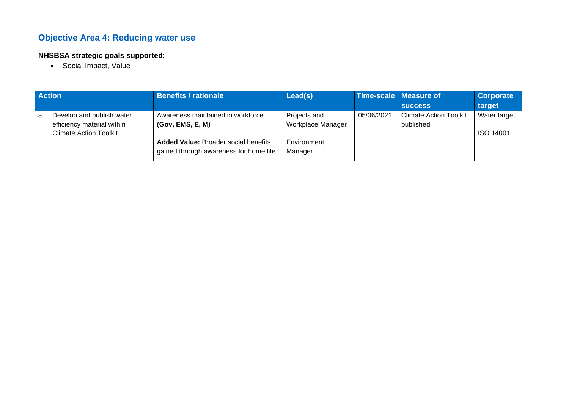## **Objective Area 4: Reducing water use**

#### **NHSBSA strategic goals supported**:

• Social Impact, Value

|   | <b>Action</b>                 | <b>Benefits / rationale</b>                 | Lead(s)           |            | Time-scale   Measure of       | Corporate        |
|---|-------------------------------|---------------------------------------------|-------------------|------------|-------------------------------|------------------|
|   |                               |                                             |                   |            | <b>SUCCESS</b>                | target           |
| a | Develop and publish water     | Awareness maintained in workforce           | Projects and      | 05/06/2021 | <b>Climate Action Toolkit</b> | Water target     |
|   | efficiency material within    | (Gov, EMS, E, M)                            | Workplace Manager |            | published                     |                  |
|   | <b>Climate Action Toolkit</b> |                                             |                   |            |                               | <b>ISO 14001</b> |
|   |                               | <b>Added Value: Broader social benefits</b> | Environment       |            |                               |                  |
|   |                               | gained through awareness for home life      | Manager           |            |                               |                  |
|   |                               |                                             |                   |            |                               |                  |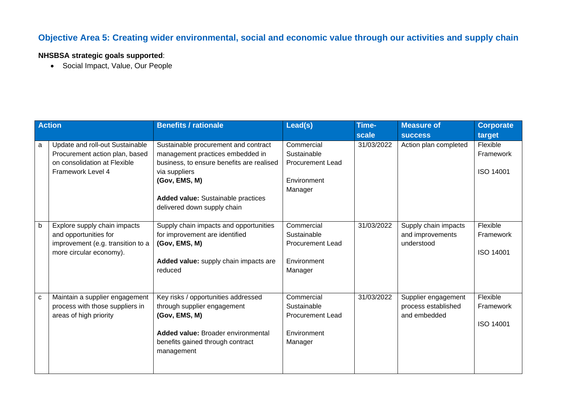### **Objective Area 5: Creating wider environmental, social and economic value through our activities and supply chain**

#### **NHSBSA strategic goals supported**:

• Social Impact, Value, Our People

|   | <b>Action</b>                                                                                                          | <b>Benefits / rationale</b>                                                                                                                                                                                                         | Lead(s)                                                                        | Time-<br>scale | <b>Measure of</b><br><b>SUCCESS</b>                        | <b>Corporate</b><br>target                |
|---|------------------------------------------------------------------------------------------------------------------------|-------------------------------------------------------------------------------------------------------------------------------------------------------------------------------------------------------------------------------------|--------------------------------------------------------------------------------|----------------|------------------------------------------------------------|-------------------------------------------|
| a | Update and roll-out Sustainable<br>Procurement action plan, based<br>on consolidation at Flexible<br>Framework Level 4 | Sustainable procurement and contract<br>management practices embedded in<br>business, to ensure benefits are realised<br>via suppliers<br>(Gov, EMS, M)<br><b>Added value:</b> Sustainable practices<br>delivered down supply chain | Commercial<br>Sustainable<br><b>Procurement Lead</b><br>Environment<br>Manager | 31/03/2022     | Action plan completed                                      | Flexible<br>Framework<br><b>ISO 14001</b> |
| b | Explore supply chain impacts<br>and opportunities for<br>improvement (e.g. transition to a<br>more circular economy).  | Supply chain impacts and opportunities<br>for improvement are identified<br>(Gov, EMS, M)<br>Added value: supply chain impacts are<br>reduced                                                                                       | Commercial<br>Sustainable<br><b>Procurement Lead</b><br>Environment<br>Manager | 31/03/2022     | Supply chain impacts<br>and improvements<br>understood     | Flexible<br>Framework<br><b>ISO 14001</b> |
| C | Maintain a supplier engagement<br>process with those suppliers in<br>areas of high priority                            | Key risks / opportunities addressed<br>through supplier engagement<br>(Gov, EMS, M)<br>Added value: Broader environmental<br>benefits gained through contract<br>management                                                         | Commercial<br>Sustainable<br><b>Procurement Lead</b><br>Environment<br>Manager | 31/03/2022     | Supplier engagement<br>process established<br>and embedded | Flexible<br>Framework<br><b>ISO 14001</b> |